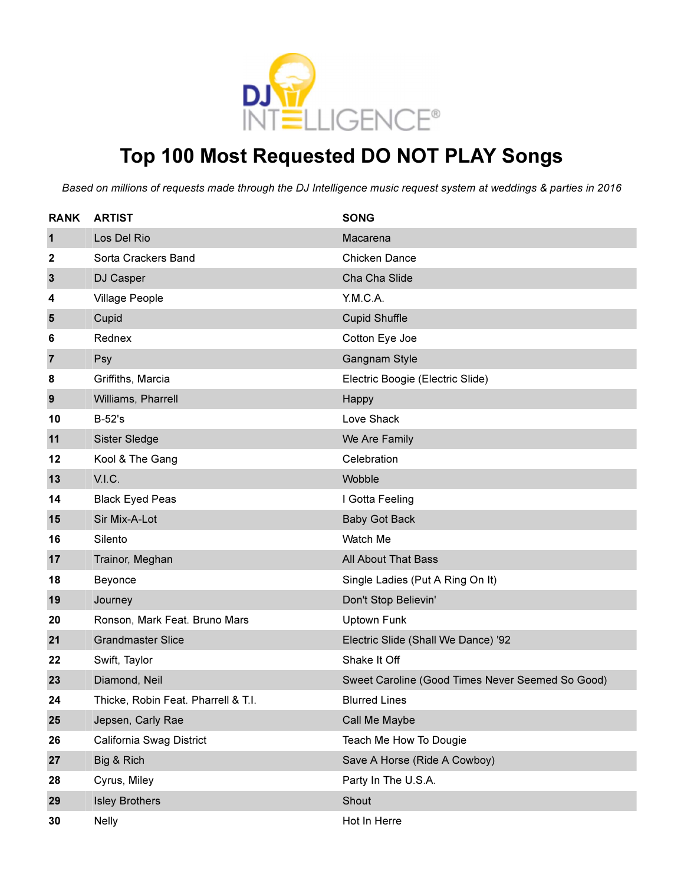

## Top 100 Most Requested DO NOT PLAY Songs

Based on millions of requests made through the DJ Intelligence music request system at weddings & parties in 2016

| <b>RANK</b>    | <b>ARTIST</b>                       | <b>SONG</b>                                      |
|----------------|-------------------------------------|--------------------------------------------------|
| $\mathbf{1}$   | Los Del Rio                         | Macarena                                         |
| 2              | Sorta Crackers Band                 | <b>Chicken Dance</b>                             |
| $\mathbf{3}$   | DJ Casper                           | Cha Cha Slide                                    |
| 4              | <b>Village People</b>               | Y.M.C.A.                                         |
| 5              | Cupid                               | <b>Cupid Shuffle</b>                             |
| 6              | Rednex                              | Cotton Eye Joe                                   |
| $\overline{7}$ | Psy                                 | Gangnam Style                                    |
| 8              | Griffiths, Marcia                   | Electric Boogie (Electric Slide)                 |
| 9              | Williams, Pharrell                  | Happy                                            |
| 10             | <b>B-52's</b>                       | Love Shack                                       |
| 11             | Sister Sledge                       | We Are Family                                    |
| 12             | Kool & The Gang                     | Celebration                                      |
| 13             | V.I.C.                              | Wobble                                           |
| 14             | <b>Black Eyed Peas</b>              | I Gotta Feeling                                  |
| 15             | Sir Mix-A-Lot                       | <b>Baby Got Back</b>                             |
| 16             | Silento                             | Watch Me                                         |
| 17             | Trainor, Meghan                     | All About That Bass                              |
| 18             | Beyonce                             | Single Ladies (Put A Ring On It)                 |
| 19             | Journey                             | Don't Stop Believin'                             |
| 20             | Ronson, Mark Feat. Bruno Mars       | Uptown Funk                                      |
| 21             | <b>Grandmaster Slice</b>            | Electric Slide (Shall We Dance) '92              |
| 22             | Swift, Taylor                       | Shake It Off                                     |
| 23             | Diamond, Neil                       | Sweet Caroline (Good Times Never Seemed So Good) |
| 24             | Thicke, Robin Feat. Pharrell & T.I. | <b>Blurred Lines</b>                             |
| 25             | Jepsen, Carly Rae                   | Call Me Maybe                                    |
| 26             | California Swag District            | Teach Me How To Dougie                           |
| 27             | Big & Rich                          | Save A Horse (Ride A Cowboy)                     |
| 28             | Cyrus, Miley                        | Party In The U.S.A.                              |
| 29             | <b>Isley Brothers</b>               | Shout                                            |
| 30             | <b>Nelly</b>                        | Hot In Herre                                     |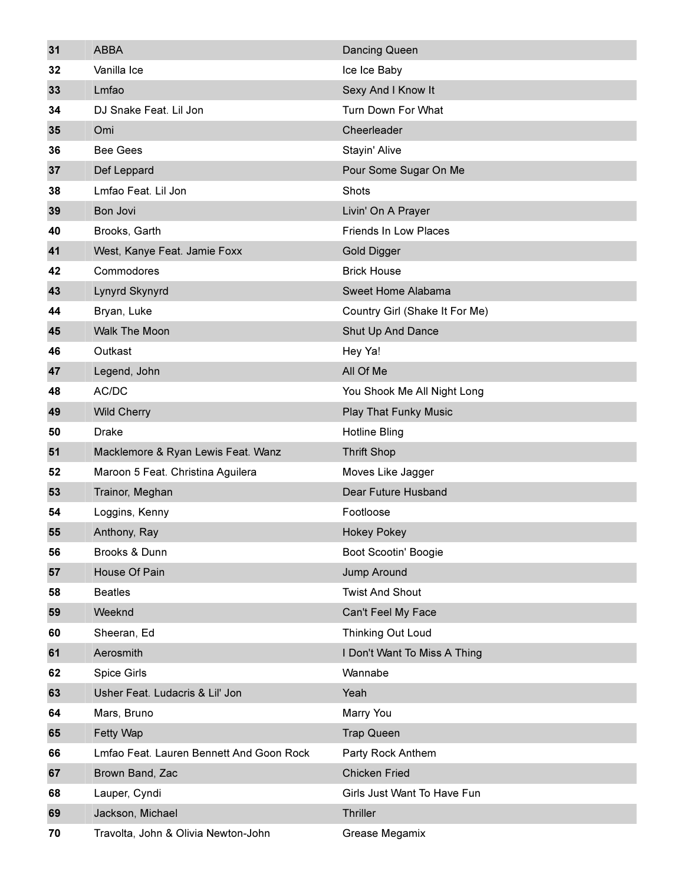| 31 | <b>ABBA</b>                              | Dancing Queen                  |
|----|------------------------------------------|--------------------------------|
| 32 | Vanilla Ice                              | Ice Ice Baby                   |
| 33 | Lmfao                                    | Sexy And I Know It             |
| 34 | DJ Snake Feat. Lil Jon                   | Turn Down For What             |
| 35 | Omi                                      | Cheerleader                    |
| 36 | <b>Bee Gees</b>                          | Stayin' Alive                  |
| 37 | Def Leppard                              | Pour Some Sugar On Me          |
| 38 | Lmfao Feat. Lil Jon                      | Shots                          |
| 39 | Bon Jovi                                 | Livin' On A Prayer             |
| 40 | Brooks, Garth                            | <b>Friends In Low Places</b>   |
| 41 | West, Kanye Feat. Jamie Foxx             | <b>Gold Digger</b>             |
| 42 | Commodores                               | <b>Brick House</b>             |
| 43 | Lynyrd Skynyrd                           | Sweet Home Alabama             |
| 44 | Bryan, Luke                              | Country Girl (Shake It For Me) |
| 45 | <b>Walk The Moon</b>                     | Shut Up And Dance              |
| 46 | Outkast                                  | Hey Ya!                        |
| 47 | Legend, John                             | All Of Me                      |
| 48 | AC/DC                                    | You Shook Me All Night Long    |
| 49 | <b>Wild Cherry</b>                       | <b>Play That Funky Music</b>   |
| 50 | <b>Drake</b>                             | <b>Hotline Bling</b>           |
| 51 | Macklemore & Ryan Lewis Feat. Wanz       | <b>Thrift Shop</b>             |
| 52 | Maroon 5 Feat. Christina Aguilera        | Moves Like Jagger              |
| 53 | Trainor, Meghan                          | Dear Future Husband            |
| 54 | Loggins, Kenny                           | Footloose                      |
| 55 | Anthony, Ray                             | <b>Hokey Pokey</b>             |
| 56 | Brooks & Dunn                            | Boot Scootin' Boogie           |
| 57 | House Of Pain                            | Jump Around                    |
| 58 | <b>Beatles</b>                           | <b>Twist And Shout</b>         |
| 59 | Weeknd                                   | Can't Feel My Face             |
| 60 | Sheeran, Ed                              | Thinking Out Loud              |
| 61 | Aerosmith                                | I Don't Want To Miss A Thing   |
| 62 | Spice Girls                              | Wannabe                        |
| 63 | Usher Feat. Ludacris & Lil' Jon          | Yeah                           |
| 64 | Mars, Bruno                              | Marry You                      |
| 65 | Fetty Wap                                | <b>Trap Queen</b>              |
| 66 | Lmfao Feat. Lauren Bennett And Goon Rock | Party Rock Anthem              |
| 67 | Brown Band, Zac                          | <b>Chicken Fried</b>           |
| 68 | Lauper, Cyndi                            | Girls Just Want To Have Fun    |
| 69 | Jackson, Michael                         | Thriller                       |
| 70 | Travolta, John & Olivia Newton-John      | Grease Megamix                 |